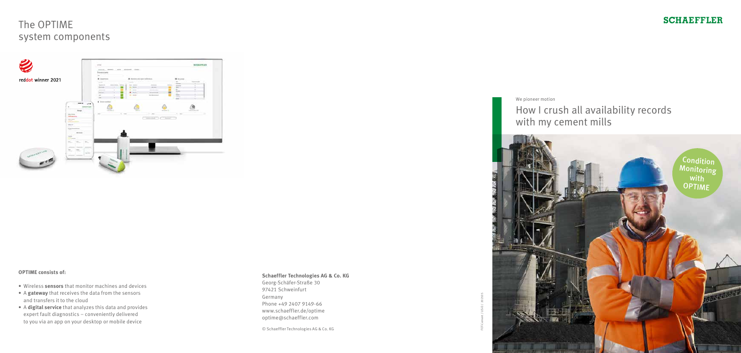# The OPTIME system components



### **OPTIME consists of:**

- Wireless **sensors** that monitor machines and devices
- A **gateway** that receives the data from the sensors and transfers it to the cloud
- A **digital service** that analyzes this data and provides expert fault diagnostics – conveniently delivered to you via an app on your desktop or mobile device



#### **Schaeffler Technologies AG & Co. KG**

Georg-Schäfer-Straße 30 97421 Schweinfurt Germany Phone +49 2407 9149-66 www.schaeffler.de/optime optime@schaeffler.com

© Schaeffler Technologies AG & Co. KG

FOT-Cement / US-D / 202105

### **SCHAEFFLER**

We pioneer motion

## How I crush all availability records with my cement mills